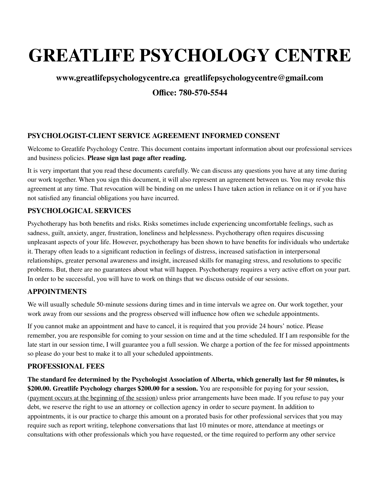# **GREATLIFE PSYCHOLOGY CENTRE**

# **www.greatlifepsychologycentre.ca greatlifepsychologycentre@gmail.com Office: 780-570-5544**

# **PSYCHOLOGIST-CLIENT SERVICE AGREEMENT INFORMED CONSENT**

Welcome to Greatlife Psychology Centre. This document contains important information about our professional services and business policies. **Please sign last page after reading.**

It is very important that you read these documents carefully. We can discuss any questions you have at any time during our work together. When you sign this document, it will also represent an agreement between us. You may revoke this agreement at any time. That revocation will be binding on me unless I have taken action in reliance on it or if you have not satisfied any financial obligations you have incurred.

#### **PSYCHOLOGICAL SERVICES**

Psychotherapy has both benefits and risks. Risks sometimes include experiencing uncomfortable feelings, such as sadness, guilt, anxiety, anger, frustration, loneliness and helplessness. Psychotherapy often requires discussing unpleasant aspects of your life. However, psychotherapy has been shown to have benefits for individuals who undertake it. Therapy often leads to a significant reduction in feelings of distress, increased satisfaction in interpersonal relationships, greater personal awareness and insight, increased skills for managing stress, and resolutions to specific problems. But, there are no guarantees about what will happen. Psychotherapy requires a very active effort on your part. In order to be successful, you will have to work on things that we discuss outside of our sessions.

#### **APPOINTMENTS**

We will usually schedule 50-minute sessions during times and in time intervals we agree on. Our work together, your work away from our sessions and the progress observed will influence how often we schedule appointments.

If you cannot make an appointment and have to cancel, it is required that you provide 24 hours' notice. Please remember, you are responsible for coming to your session on time and at the time scheduled. If I am responsible for the late start in our session time, I will guarantee you a full session. We charge a portion of the fee for missed appointments so please do your best to make it to all your scheduled appointments.

#### **PROFESSIONAL FEES**

The standard fee determined by the Psychologist Association of Alberta, which generally last for 50 minutes, is **\$200.00. Greatlife Psychology charges \$200.00 for a session.** You are responsible for paying for your session, (payment occurs at the beginning of the session) unless prior arrangements have been made. If you refuse to pay your debt, we reserve the right to use an attorney or collection agency in order to secure payment. In addition to appointments, it is our practice to charge this amount on a prorated basis for other professional services that you may require such as report writing, telephone conversations that last 10 minutes or more, attendance at meetings or consultations with other professionals which you have requested, or the time required to perform any other service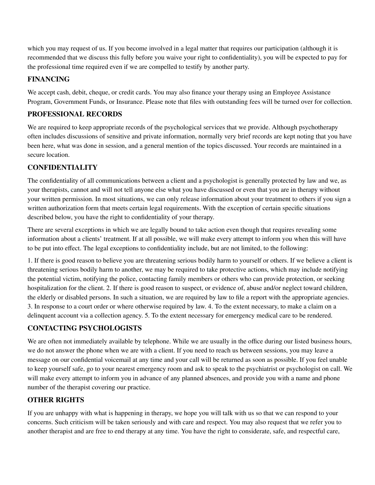which you may request of us. If you become involved in a legal matter that requires our participation (although it is recommended that we discuss this fully before you waive your right to confidentiality), you will be expected to pay for the professional time required even if we are compelled to testify by another party.

#### **FINANCING**

We accept cash, debit, cheque, or credit cards. You may also finance your therapy using an Employee Assistance Program, Government Funds, or Insurance. Please note that files with outstanding fees will be turned over for collection.

# **PROFESSIONAL RECORDS**

We are required to keep appropriate records of the psychological services that we provide. Although psychotherapy often includes discussions of sensitive and private information, normally very brief records are kept noting that you have been here, what was done in session, and a general mention of the topics discussed. Your records are maintained in a secure location.

# **CONFIDENTIALITY**

The confidentiality of all communications between a client and a psychologist is generally protected by law and we, as your therapists, cannot and will not tell anyone else what you have discussed or even that you are in therapy without your written permission. In most situations, we can only release information about your treatment to others if you sign a written authorization form that meets certain legal requirements. With the exception of certain specific situations described below, you have the right to confidentiality of your therapy.

There are several exceptions in which we are legally bound to take action even though that requires revealing some information about a clients' treatment. If at all possible, we will make every attempt to inform you when this will have to be put into effect. The legal exceptions to confidentiality include, but are not limited, to the following:

1. If there is good reason to believe you are threatening serious bodily harm to yourself or others. If we believe a client is threatening serious bodily harm to another, we may be required to take protective actions, which may include notifying the potential victim, notifying the police, contacting family members or others who can provide protection, or seeking hospitalization for the client. 2. If there is good reason to suspect, or evidence of, abuse and/or neglect toward children, the elderly or disabled persons. In such a situation, we are required by law to file a report with the appropriate agencies. 3. In response to a court order or where otherwise required by law. 4. To the extent necessary, to make a claim on a delinquent account via a collection agency. 5. To the extent necessary for emergency medical care to be rendered.

# **CONTACTING PSYCHOLOGISTS**

We are often not immediately available by telephone. While we are usually in the office during our listed business hours, we do not answer the phone when we are with a client. If you need to reach us between sessions, you may leave a message on our confidential voicemail at any time and your call will be returned as soon as possible. If you feel unable to keep yourself safe, go to your nearest emergency room and ask to speak to the psychiatrist or psychologist on call. We will make every attempt to inform you in advance of any planned absences, and provide you with a name and phone number of the therapist covering our practice.

# **OTHER RIGHTS**

If you are unhappy with what is happening in therapy, we hope you will talk with us so that we can respond to your concerns. Such criticism will be taken seriously and with care and respect. You may also request that we refer you to another therapist and are free to end therapy at any time. You have the right to considerate, safe, and respectful care,